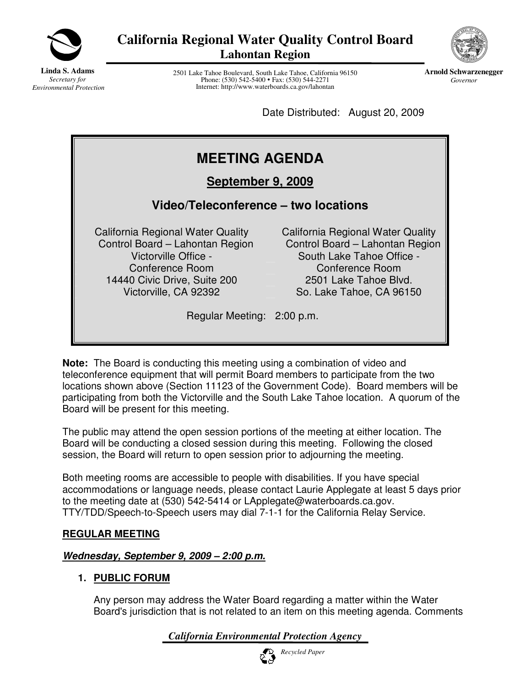

**California Regional Water Quality Control Board Lahontan Region**



**Linda S. Adams** *Secretary for Environmental Protection*

2501 Lake Tahoe Boulevard, South Lake Tahoe, California 96150 Phone: (530) 542-5400 • Fax: (530) 544-2271 Internet: http://www.waterboards.ca.gov/lahontan

**Arnold Schwarzenegger** *Governor*

Date Distributed: August 20, 2009

# **MEETING AGENDA**

**September 9, 2009**

## **Video/Teleconference – two locations**

California Regional Water Quality Control Board – Lahontan Region Conference Room Conference Room 14440 Civic Drive, Suite 200 2501 Lake Tahoe Blvd.

California Regional Water Quality Control Board – Lahontan Region Victorville Office - South Lake Tahoe Office -Victorville, CA 92392 So. Lake Tahoe, CA 96150

Regular Meeting: 2:00 p.m.

**Note:** The Board is conducting this meeting using a combination of video and teleconference equipment that will permit Board members to participate from the two locations shown above (Section 11123 of the Government Code). Board members will be participating from both the Victorville and the South Lake Tahoe location. A quorum of the Board will be present for this meeting.

The public may attend the open session portions of the meeting at either location. The Board will be conducting a closed session during this meeting. Following the closed session, the Board will return to open session prior to adjourning the meeting.

Both meeting rooms are accessible to people with disabilities. If you have special accommodations or language needs, please contact Laurie Applegate at least 5 days prior to the meeting date at (530) 542-5414 or LApplegate@waterboards.ca.gov. TTY/TDD/Speech-to-Speech users may dial 7-1-1 for the California Relay Service.

## **REGULAR MEETING**

## *Wednesday, September 9, 2009 – 2:00 p.m.*

## **1. PUBLIC FORUM**

Any person may address the Water Board regarding a matter within the Water Board's jurisdiction that is not related to an item on this meeting agenda. Comments

*California Environmental Protection Agency*

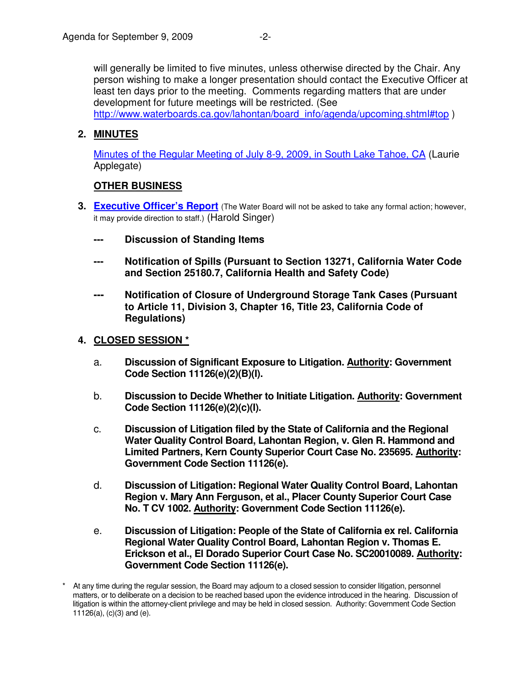will generally be limited to five minutes, unless otherwise directed by the Chair. Any person wishing to make a longer presentation should contact the Executive Officer at least ten days prior to the meeting. Comments regarding matters that are under development for future meetings will be restricted. (See http://www.waterboards.ca.gov/lahontan/board\_info/agenda/upcoming.shtml#top )

## **2. MINUTES**

[Minutes of the Regular Meeting of July 8-9, 2009, in South Lake Tahoe, CA](http://www.waterboards.ca.gov/lahontan/board_info/agenda/2009/sep/item2.pdf) (Laurie Applegate)

## **OTHER BUSINESS**

- **3. [Executive Officer's Report](http://www.waterboards.ca.gov/lahontan/board_info/agenda/2009/sep/item3.pdf)** (The Water Board will not be asked to take any formal action; however, it may provide direction to staff.) (Harold Singer)
	- **--- Discussion of Standing Items**
	- **Notification of Spills (Pursuant to Section 13271, California Water Code and Section 25180.7, California Health and Safety Code)**
	- **--- Notification of Closure of Underground Storage Tank Cases (Pursuant to Article 11, Division 3, Chapter 16, Title 23, California Code of Regulations)**

### **4. CLOSED SESSION \***

- a. **Discussion of Significant Exposure to Litigation. Authority: Government Code Section 11126(e)(2)(B)(I).**
- b. **Discussion to Decide Whether to Initiate Litigation. Authority: Government Code Section 11126(e)(2)(c)(I).**
- c. **Discussion of Litigation filed by the State of California and the Regional Water Quality Control Board, Lahontan Region, v. Glen R. Hammond and Limited Partners, Kern County Superior Court Case No. 235695. Authority: Government Code Section 11126(e).**
- d. **Discussion of Litigation: Regional Water Quality Control Board, Lahontan Region v. Mary Ann Ferguson, et al., Placer County Superior Court Case No. T CV 1002. Authority: Government Code Section 11126(e).**
- e. **Discussion of Litigation: People of the State of California ex rel. California Regional Water Quality Control Board, Lahontan Region v. Thomas E. Erickson et al., El Dorado Superior Court Case No. SC20010089. Authority: Government Code Section 11126(e).**

<sup>\*</sup> At any time during the regular session, the Board may adjourn to a closed session to consider litigation, personnel matters, or to deliberate on a decision to be reached based upon the evidence introduced in the hearing. Discussion of litigation is within the attorney-client privilege and may be held in closed session. Authority: Government Code Section 11126(a), (c)(3) and (e).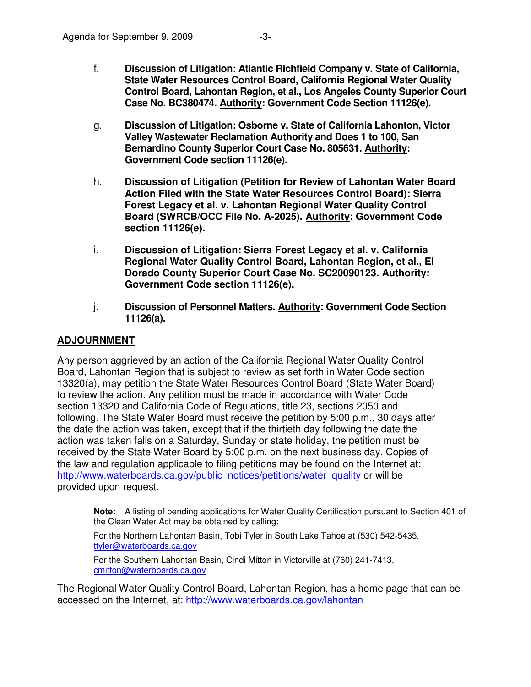- f. **Discussion of Litigation: Atlantic Richfield Company v. State of California, State Water Resources Control Board, California Regional Water Quality Control Board, Lahontan Region, et al., Los Angeles County Superior Court Case No. BC380474. Authority: Government Code Section 11126(e).**
- g. **Discussion of Litigation: Osborne v. State of California Lahonton, Victor Valley Wastewater Reclamation Authority and Does 1 to 100, San Bernardino County Superior Court Case No. 805631. Authority: Government Code section 11126(e).**
- h. **Discussion of Litigation (Petition for Review of Lahontan Water Board Action Filed with the State Water Resources Control Board): Sierra Forest Legacy et al. v. Lahontan Regional Water Quality Control Board (SWRCB/OCC File No. A-2025). Authority: Government Code section 11126(e).**
- i. **Discussion of Litigation: Sierra Forest Legacy et al. v. California Regional Water Quality Control Board, Lahontan Region, et al., El Dorado County Superior Court Case No. SC20090123. Authority: Government Code section 11126(e).**
- j. **Discussion of Personnel Matters. Authority: Government Code Section 11126(a).**

## **ADJOURNMENT**

Any person aggrieved by an action of the California Regional Water Quality Control Board, Lahontan Region that is subject to review as set forth in Water Code section 13320(a), may petition the State Water Resources Control Board (State Water Board) to review the action. Any petition must be made in accordance with Water Code section 13320 and California Code of Regulations, title 23, sections 2050 and following. The State Water Board must receive the petition by 5:00 p.m., 30 days after the date the action was taken, except that if the thirtieth day following the date the action was taken falls on a Saturday, Sunday or state holiday, the petition must be received by the State Water Board by 5:00 p.m. on the next business day. Copies of the law and regulation applicable to filing petitions may be found on the Internet at: http://www.waterboards.ca.gov/public\_notices/petitions/water\_quality or will be provided upon request.

**Note:** A listing of pending applications for Water Quality Certification pursuant to Section 401 of the Clean Water Act may be obtained by calling:

For the Northern Lahontan Basin, Tobi Tyler in South Lake Tahoe at (530) 542-5435, ttyler@waterboards.ca.gov

For the Southern Lahontan Basin, Cindi Mitton in Victorville at (760) 241-7413, cmitton@waterboards.ca.gov

The Regional Water Quality Control Board, Lahontan Region, has a home page that can be accessed on the Internet, at: http://www.waterboards.ca.gov/lahontan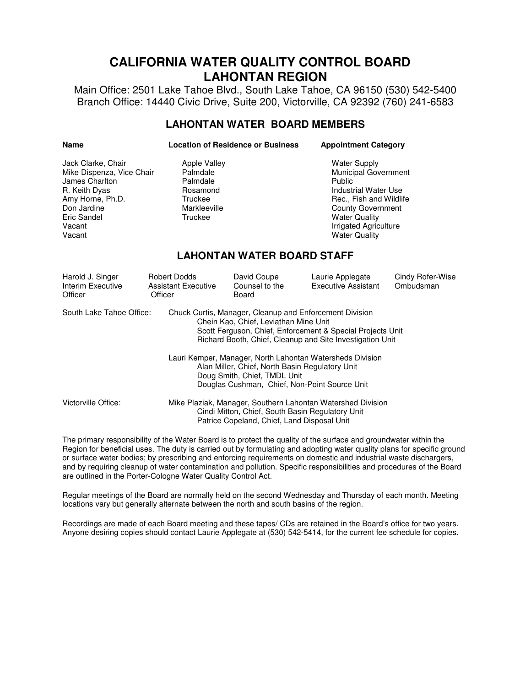## **CALIFORNIA WATER QUALITY CONTROL BOARD LAHONTAN REGION**

Main Office: 2501 Lake Tahoe Blvd., South Lake Tahoe, CA 96150 (530) 542-5400 Branch Office: 14440 Civic Drive, Suite 200, Victorville, CA 92392 (760) 241-6583

### **LAHONTAN WATER BOARD MEMBERS**

| <b>Name</b> | <b>Location of Residence or Business</b> | <b>Appointment Category</b> |
|-------------|------------------------------------------|-----------------------------|
|             |                                          |                             |

| Jack Clarke, Chair<br>Mike Dispenza, Vice Chair<br>James Charlton<br>R. Keith Dyas<br>Amy Horne, Ph.D.<br>Don Jardine<br>Eric Sandel<br>Vacant<br>Vacant                                                                                                | <b>Apple Valley</b><br>Palmdale<br>Palmdale<br>Rosamond<br>Truckee<br>Markleeville<br>Truckee |                                        | <b>Water Supply</b><br>Municipal Government<br><b>Public</b><br><b>Industrial Water Use</b><br>Rec., Fish and Wildlife<br><b>County Government</b><br><b>Water Quality</b><br>Irrigated Agriculture<br><b>Water Quality</b> |                               |  |  |
|---------------------------------------------------------------------------------------------------------------------------------------------------------------------------------------------------------------------------------------------------------|-----------------------------------------------------------------------------------------------|----------------------------------------|-----------------------------------------------------------------------------------------------------------------------------------------------------------------------------------------------------------------------------|-------------------------------|--|--|
| <b>LAHONTAN WATER BOARD STAFF</b>                                                                                                                                                                                                                       |                                                                                               |                                        |                                                                                                                                                                                                                             |                               |  |  |
| Harold J. Singer<br>Interim Executive<br>Officer                                                                                                                                                                                                        | <b>Robert Dodds</b><br><b>Assistant Executive</b><br>Officer                                  | David Coupe<br>Counsel to the<br>Board | Laurie Applegate<br><b>Executive Assistant</b>                                                                                                                                                                              | Cindy Rofer-Wise<br>Ombudsman |  |  |
| South Lake Tahoe Office:<br>Chuck Curtis, Manager, Cleanup and Enforcement Division<br>Chein Kao, Chief, Leviathan Mine Unit<br>Scott Ferguson, Chief, Enforcement & Special Projects Unit<br>Richard Booth, Chief, Cleanup and Site Investigation Unit |                                                                                               |                                        |                                                                                                                                                                                                                             |                               |  |  |
| Lauri Kemper, Manager, North Lahontan Watersheds Division<br>Alan Miller, Chief, North Basin Regulatory Unit<br>Doug Smith, Chief, TMDL Unit                                                                                                            |                                                                                               |                                        |                                                                                                                                                                                                                             |                               |  |  |

Douglas Cushman, Chief, Non-Point Source Unit Victorville Office: Mike Plaziak, Manager, Southern Lahontan Watershed Division Cindi Mitton, Chief, South Basin Regulatory Unit Patrice Copeland, Chief, Land Disposal Unit

The primary responsibility of the Water Board is to protect the quality of the surface and groundwater within the Region for beneficial uses. The duty is carried out by formulating and adopting water quality plans for specific ground or surface water bodies; by prescribing and enforcing requirements on domestic and industrial waste dischargers, and by requiring cleanup of water contamination and pollution. Specific responsibilities and procedures of the Board are outlined in the Porter-Cologne Water Quality Control Act.

Regular meetings of the Board are normally held on the second Wednesday and Thursday of each month. Meeting locations vary but generally alternate between the north and south basins of the region.

Recordings are made of each Board meeting and these tapes/ CDs are retained in the Board's office for two years. Anyone desiring copies should contact Laurie Applegate at (530) 542-5414, for the current fee schedule for copies.